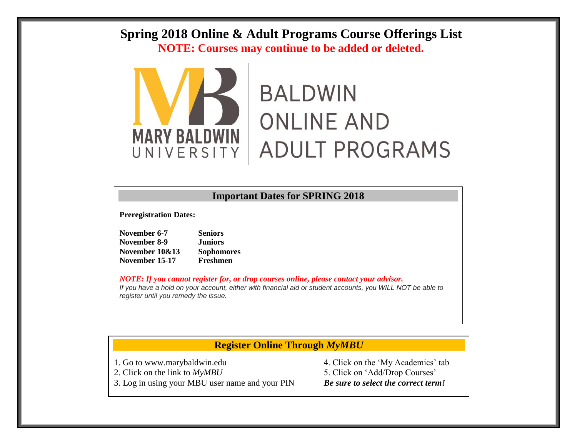## **Spring 2018 Online & Adult Programs Course Offerings List NOTE: Courses may continue to be added or deleted.**



# **BALDWIN ONLINE AND ADULT PROGRAMS**

#### **Important Dates for SPRING 2018**

**Preregistration Dates:**

| November 6-7   | <b>Seniors</b>    |
|----------------|-------------------|
| November 8-9   | <b>Juniors</b>    |
| November 10&13 | <b>Sophomores</b> |
| November 15-17 | Freshmen          |

*NOTE: If you cannot register for, or drop courses online, please contact your advisor. If you have a hold on your account, either with financial aid or student accounts, you WILL NOT be able to register until you remedy the issue.*

### **Register Online Through** *MyMBU*

- 2. Click on the link to  $MvMBU$  5. Click on 'Add/Drop Courses'
- 3. Log in using your MBU user name and your PIN *Be sure to select the correct term!*

1. Go to www.marybaldwin.edu 4. Click on the 'My Academics' tab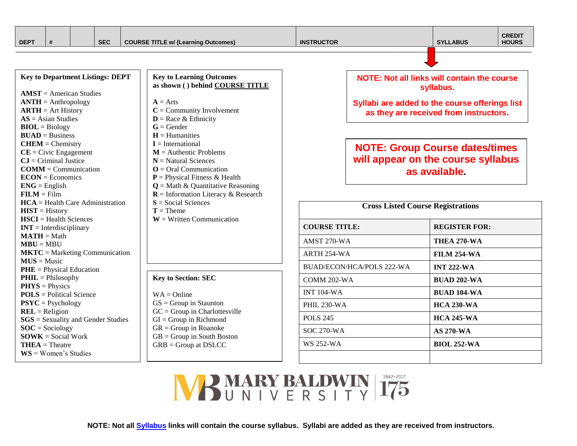| <b>DEPT</b> |  | <b>SEC</b> | "E w/ (Learning Outcomes)<br>TITLE w/<br>CUURSE | юк | <b>ABUS</b><br>$\sim$ | $- - - - -$<br>CKEDII<br><b>HOURS</b> |
|-------------|--|------------|-------------------------------------------------|----|-----------------------|---------------------------------------|
|             |  |            |                                                 |    |                       |                                       |

| <b>Key to Department Listings: DEPT</b>   |
|-------------------------------------------|
| $AMST = American Studies$                 |
| $\bf ANTH =$ Anthropology                 |
| $\bf ARTH = Art History$                  |
| $AS = Asian Studies$                      |
| $BIOL = Biology$                          |
| $BUAD = Business$                         |
| $CHEM = Chemistry$                        |
| $CE = Civic$ Engagement                   |
| $CJ = Criminal$ Justice                   |
| $COMM = Communication$                    |
| $ECON = Economics$                        |
| $ENG = English$                           |
| $FILM = Film$                             |
| $HCA = Health Care Administration$        |
| $HIST = History$                          |
| $HSCI = Health Sciences$                  |
| $INT = Interdisciplinary$                 |
| $MATH = Math$                             |
| $MBU = MBU$                               |
| $MKTC =$ Marketing Communication          |
| $MUS = Music$                             |
| $PHE = Physical Education$                |
| $PHIL = Philosophy$                       |
| $PHYS = Physics$                          |
| $POLS = Political Science$                |
| $PSYC = Psychology$                       |
| $REL = Religion$                          |
| <b>SGS</b> = Sexuality and Gender Studies |
| $SOC = Society$                           |
| $SOWK = Social Work$                      |
| $THEA = Theatre$                          |
| $WS = Women's Studies$                    |

#### **Key to Learning Outcomes as shown ( ) behind COURSE TITLE**

- $A = Arts$
- **C** = Community Involvement
- $D =$ Race & Ethnicity
- **G** = Gender
- $H =$  Humanities
- **I** = International
- $M =$  Authentic Problems
- **N** = Natural Sciences **O** = Oral Communication
- **P** = Physical Fitness & Health
- 
- $Q = \text{Math} \& \text{Quantitative Reasoning}$ **R** = Information Literacy & Research
- **S** = Social Sciences

**Key to Section: SEC**

 $GS = Group$  in Staunton  $GC = Group$  in Charlottesville  $GI = Group$  in Richmond  $GR = Group$  in Roanoke GB = Group in South Boston GRB = Group at DSLCC

 $WA = Online$ 

- $T =$ Theme
- **W** = Written Communication

#### **NOTE: Not all links will contain the course syllabus.**

**Syllabi are added to the course offerings list as they are received from instructors.**

## **NOTE: Group Course dates/times will appear on the course syllabus as available.**

| <b>Cross Listed Course Registrations</b> |                      |  |  |  |  |  |
|------------------------------------------|----------------------|--|--|--|--|--|
| <b>COURSE TITLE:</b>                     | <b>REGISTER FOR:</b> |  |  |  |  |  |
| AMST 270-WA                              | THEA 270-WA          |  |  |  |  |  |
| ARTH 254-WA                              | <b>FILM 254-WA</b>   |  |  |  |  |  |
| BUAD/ECON/HCA/POLS 222-WA                | <b>INT 222-WA</b>    |  |  |  |  |  |
| COMM 202-WA                              | <b>BUAD 202-WA</b>   |  |  |  |  |  |
| <b>INT 104-WA</b>                        | <b>BUAD 104-WA</b>   |  |  |  |  |  |
| <b>PHIL 230-WA</b>                       | <b>HCA 230-WA</b>    |  |  |  |  |  |
| <b>POLS 245</b>                          | <b>HCA 245-WA</b>    |  |  |  |  |  |
| SOC 270-WA                               | <b>AS 270-WA</b>     |  |  |  |  |  |
| WS 252-WA                                | <b>BIOL 252-WA</b>   |  |  |  |  |  |
|                                          |                      |  |  |  |  |  |

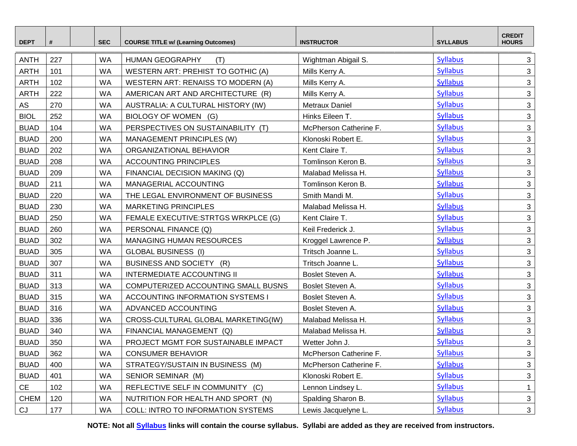| <b>DEPT</b>       | #   | <b>SEC</b> | <b>COURSE TITLE w/ (Learning Outcomes)</b> | <b>INSTRUCTOR</b>      | <b>SYLLABUS</b> | <b>CREDIT</b><br><b>HOURS</b> |
|-------------------|-----|------------|--------------------------------------------|------------------------|-----------------|-------------------------------|
| <b>ANTH</b>       | 227 | <b>WA</b>  | <b>HUMAN GEOGRAPHY</b><br>(T)              | Wightman Abigail S.    | <b>Syllabus</b> | $\mathbf{3}$                  |
| <b>ARTH</b>       | 101 | <b>WA</b>  | WESTERN ART: PREHIST TO GOTHIC (A)         | Mills Kerry A.         | <b>Syllabus</b> | 3                             |
| <b>ARTH</b>       | 102 | <b>WA</b>  | WESTERN ART: RENAISS TO MODERN (A)         | Mills Kerry A.         | <b>Syllabus</b> | $\mathbf{3}$                  |
| <b>ARTH</b>       | 222 | <b>WA</b>  | AMERICAN ART AND ARCHITECTURE (R)          | Mills Kerry A.         | <b>Syllabus</b> | $\mathbf{3}$                  |
| AS                | 270 | <b>WA</b>  | AUSTRALIA: A CULTURAL HISTORY (IW)         | Metraux Daniel         | <b>Syllabus</b> | $\ensuremath{\mathsf{3}}$     |
| <b>BIOL</b>       | 252 | <b>WA</b>  | BIOLOGY OF WOMEN (G)                       | Hinks Eileen T.        | <b>Syllabus</b> | 3                             |
| <b>BUAD</b>       | 104 | <b>WA</b>  | PERSPECTIVES ON SUSTAINABILITY (T)         | McPherson Catherine F. | <b>Syllabus</b> | $\mathfrak{S}$                |
| <b>BUAD</b>       | 200 | <b>WA</b>  | MANAGEMENT PRINCIPLES (W)                  | Klonoski Robert E.     | <b>Syllabus</b> | 3                             |
| <b>BUAD</b>       | 202 | <b>WA</b>  | ORGANIZATIONAL BEHAVIOR                    | Kent Claire T.         | <b>Syllabus</b> | $\mathbf{3}$                  |
| <b>BUAD</b>       | 208 | <b>WA</b>  | <b>ACCOUNTING PRINCIPLES</b>               | Tomlinson Keron B.     | <b>Syllabus</b> | $\mathbf{3}$                  |
| <b>BUAD</b>       | 209 | <b>WA</b>  | FINANCIAL DECISION MAKING (Q)              | Malabad Melissa H.     | <b>Syllabus</b> | $\mathfrak{S}$                |
| <b>BUAD</b>       | 211 | <b>WA</b>  | MANAGERIAL ACCOUNTING                      | Tomlinson Keron B.     | <b>Syllabus</b> | $\mathbf{3}$                  |
| <b>BUAD</b>       | 220 | <b>WA</b>  | THE LEGAL ENVIRONMENT OF BUSINESS          | Smith Mandi M.         | <b>Syllabus</b> | 3                             |
| <b>BUAD</b>       | 230 | <b>WA</b>  | <b>MARKETING PRINCIPLES</b>                | Malabad Melissa H.     | <b>Syllabus</b> | $\mathfrak{S}$                |
| <b>BUAD</b>       | 250 | <b>WA</b>  | FEMALE EXECUTIVE:STRTGS WRKPLCE (G)        | Kent Claire T.         | <b>Syllabus</b> | 3                             |
| <b>BUAD</b>       | 260 | <b>WA</b>  | PERSONAL FINANCE (Q)                       | Keil Frederick J.      | <b>Syllabus</b> | $\mathfrak{S}$                |
| <b>BUAD</b>       | 302 | <b>WA</b>  | <b>MANAGING HUMAN RESOURCES</b>            | Kroggel Lawrence P.    | <b>Syllabus</b> | $\ensuremath{\mathsf{3}}$     |
| <b>BUAD</b>       | 305 | <b>WA</b>  | <b>GLOBAL BUSINESS (I)</b>                 | Tritsch Joanne L.      | <b>Syllabus</b> | $\mathbf{3}$                  |
| <b>BUAD</b>       | 307 | <b>WA</b>  | BUSINESS AND SOCIETY (R)                   | Tritsch Joanne L.      | <b>Syllabus</b> | $\mathfrak{S}$                |
| <b>BUAD</b>       | 311 | <b>WA</b>  | <b>INTERMEDIATE ACCOUNTING II</b>          | Boslet Steven A.       | <b>Syllabus</b> | 3                             |
| <b>BUAD</b>       | 313 | <b>WA</b>  | COMPUTERIZED ACCOUNTING SMALL BUSNS        | Boslet Steven A.       | <b>Syllabus</b> | $\mathbf{3}$                  |
| <b>BUAD</b>       | 315 | <b>WA</b>  | <b>ACCOUNTING INFORMATION SYSTEMS I</b>    | Boslet Steven A.       | <b>Syllabus</b> | $\mathbf{3}$                  |
| <b>BUAD</b>       | 316 | <b>WA</b>  | ADVANCED ACCOUNTING                        | Boslet Steven A.       | <b>Syllabus</b> | 3                             |
| <b>BUAD</b>       | 336 | <b>WA</b>  | CROSS-CULTURAL GLOBAL MARKETING(IW)        | Malabad Melissa H.     | <b>Syllabus</b> | $\mathbf{3}$                  |
| <b>BUAD</b>       | 340 | <b>WA</b>  | FINANCIAL MANAGEMENT (Q)                   | Malabad Melissa H.     | <b>Syllabus</b> | $\mathbf{3}$                  |
| <b>BUAD</b>       | 350 | <b>WA</b>  | PROJECT MGMT FOR SUSTAINABLE IMPACT        | Wetter John J.         | <b>Syllabus</b> | $\mathbf{3}$                  |
| <b>BUAD</b>       | 362 | WA         | <b>CONSUMER BEHAVIOR</b>                   | McPherson Catherine F. | <b>Syllabus</b> | 3                             |
| <b>BUAD</b>       | 400 | <b>WA</b>  | STRATEGY/SUSTAIN IN BUSINESS (M)           | McPherson Catherine F. | <b>Syllabus</b> | 3                             |
| <b>BUAD</b>       | 401 | WA         | SENIOR SEMINAR (M)                         | Klonoski Robert E.     | <b>Syllabus</b> | 3                             |
| CE                | 102 | <b>WA</b>  | REFLECTIVE SELF IN COMMUNITY (C)           | Lennon Lindsey L.      | <b>Syllabus</b> | $\mathbf{1}$                  |
| <b>CHEM</b>       | 120 | WA         | NUTRITION FOR HEALTH AND SPORT (N)         | Spalding Sharon B.     | <b>Syllabus</b> | 3                             |
| $\mathop{\rm CJ}$ | 177 | WA         | COLL: INTRO TO INFORMATION SYSTEMS         | Lewis Jacquelyne L.    | <b>Syllabus</b> | $\mathbf{3}$                  |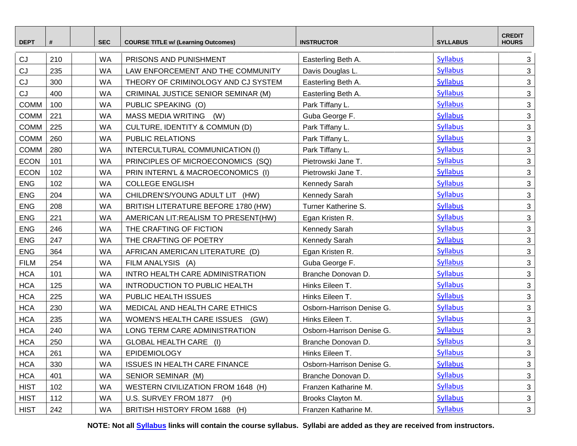| <b>DEPT</b> | #   | <b>SEC</b> | <b>COURSE TITLE w/ (Learning Outcomes)</b> | <b>INSTRUCTOR</b>         | <b>SYLLABUS</b> | <b>CREDIT</b><br><b>HOURS</b> |
|-------------|-----|------------|--------------------------------------------|---------------------------|-----------------|-------------------------------|
| CJ          | 210 | <b>WA</b>  | PRISONS AND PUNISHMENT                     | Easterling Beth A.        | <b>Syllabus</b> | 3                             |
| CJ          | 235 | <b>WA</b>  | LAW ENFORCEMENT AND THE COMMUNITY          | Davis Douglas L.          | <b>Syllabus</b> | 3                             |
| CJ          | 300 | <b>WA</b>  | THEORY OF CRIMINOLOGY AND CJ SYSTEM        | Easterling Beth A.        | <b>Syllabus</b> | $\mathfrak{S}$                |
| CJ          | 400 | <b>WA</b>  | CRIMINAL JUSTICE SENIOR SEMINAR (M)        | Easterling Beth A.        | <b>Syllabus</b> | $\mathbf{3}$                  |
| <b>COMM</b> | 100 | <b>WA</b>  | PUBLIC SPEAKING (O)                        | Park Tiffany L.           | <b>Syllabus</b> | 3                             |
| <b>COMM</b> | 221 | <b>WA</b>  | MASS MEDIA WRITING<br>(W)                  | Guba George F.            | <b>Syllabus</b> | 3                             |
| <b>COMM</b> | 225 | <b>WA</b>  | CULTURE, IDENTITY & COMMUN (D)             | Park Tiffany L.           | <b>Syllabus</b> | $\mathfrak{S}$                |
| <b>COMM</b> | 260 | <b>WA</b>  | PUBLIC RELATIONS                           | Park Tiffany L.           | <b>Syllabus</b> | 3                             |
| <b>COMM</b> | 280 | <b>WA</b>  | INTERCULTURAL COMMUNICATION (I)            | Park Tiffany L.           | <b>Syllabus</b> | $\mathfrak{S}$                |
| <b>ECON</b> | 101 | <b>WA</b>  | PRINCIPLES OF MICROECONOMICS (SQ)          | Pietrowski Jane T.        | <b>Syllabus</b> | $\mathfrak{S}$                |
| <b>ECON</b> | 102 | <b>WA</b>  | PRIN INTERN'L & MACROECONOMICS (I)         | Pietrowski Jane T.        | <b>Syllabus</b> | $\mathbf{3}$                  |
| <b>ENG</b>  | 102 | <b>WA</b>  | <b>COLLEGE ENGLISH</b>                     | Kennedy Sarah             | <b>Syllabus</b> | 3                             |
| <b>ENG</b>  | 204 | <b>WA</b>  | CHILDREN'S/YOUNG ADULT LIT (HW)            | Kennedy Sarah             | <b>Syllabus</b> | $\mathfrak{S}$                |
| <b>ENG</b>  | 208 | <b>WA</b>  | BRITISH LITERATURE BEFORE 1780 (HW)        | Turner Katherine S.       | <b>Syllabus</b> | 3                             |
| <b>ENG</b>  | 221 | <b>WA</b>  | AMERICAN LIT:REALISM TO PRESENT(HW)        | Egan Kristen R.           | <b>Syllabus</b> | 3                             |
| <b>ENG</b>  | 246 | <b>WA</b>  | THE CRAFTING OF FICTION                    | Kennedy Sarah             | <b>Syllabus</b> | $\mathbf{3}$                  |
| <b>ENG</b>  | 247 | <b>WA</b>  | THE CRAFTING OF POETRY                     | Kennedy Sarah             | <b>Syllabus</b> | $\mathfrak{S}$                |
| <b>ENG</b>  | 364 | <b>WA</b>  | AFRICAN AMERICAN LITERATURE (D)            | Egan Kristen R.           | <b>Syllabus</b> | 3                             |
| <b>FILM</b> | 254 | <b>WA</b>  | FILM ANALYSIS (A)                          | Guba George F.            | <b>Syllabus</b> | 3                             |
| <b>HCA</b>  | 101 | <b>WA</b>  | INTRO HEALTH CARE ADMINISTRATION           | Branche Donovan D.        | <b>Syllabus</b> | $\mathfrak{S}$                |
| <b>HCA</b>  | 125 | <b>WA</b>  | INTRODUCTION TO PUBLIC HEALTH              | Hinks Eileen T.           | <b>Syllabus</b> | 3                             |
| <b>HCA</b>  | 225 | <b>WA</b>  | PUBLIC HEALTH ISSUES                       | Hinks Eileen T.           | <b>Syllabus</b> | 3                             |
| <b>HCA</b>  | 230 | <b>WA</b>  | MEDICAL AND HEALTH CARE ETHICS             | Osborn-Harrison Denise G. | <b>Syllabus</b> | $\mathfrak{S}$                |
| <b>HCA</b>  | 235 | <b>WA</b>  | WOMEN'S HEALTH CARE ISSUES<br>(GW)         | Hinks Eileen T.           | <b>Syllabus</b> | $\mathfrak{S}$                |
| <b>HCA</b>  | 240 | <b>WA</b>  | LONG TERM CARE ADMINISTRATION              | Osborn-Harrison Denise G. | <b>Syllabus</b> | $\mathfrak{S}$                |
| <b>HCA</b>  | 250 | WA         | GLOBAL HEALTH CARE (I)                     | Branche Donovan D.        | <b>Syllabus</b> | 3                             |
| <b>HCA</b>  | 261 | <b>WA</b>  | EPIDEMIOLOGY                               | Hinks Eileen T.           | <b>Syllabus</b> | $\mathbf{3}$                  |
| <b>HCA</b>  | 330 | <b>WA</b>  | ISSUES IN HEALTH CARE FINANCE              | Osborn-Harrison Denise G. | <b>Syllabus</b> | $\mathfrak{S}$                |
| <b>HCA</b>  | 401 | <b>WA</b>  | SENIOR SEMINAR (M)                         | Branche Donovan D.        | <b>Syllabus</b> | 3                             |
| <b>HIST</b> | 102 | <b>WA</b>  | WESTERN CIVILIZATION FROM 1648 (H)         | Franzen Katharine M.      | <b>Syllabus</b> | $\mathbf{3}$                  |
| <b>HIST</b> | 112 | <b>WA</b>  | U.S. SURVEY FROM 1877<br>(H)               | Brooks Clayton M.         | <b>Syllabus</b> | $\mathfrak{S}$                |
| <b>HIST</b> | 242 | <b>WA</b>  | BRITISH HISTORY FROM 1688 (H)              | Franzen Katharine M.      | <b>Syllabus</b> | $\mathbf{3}$                  |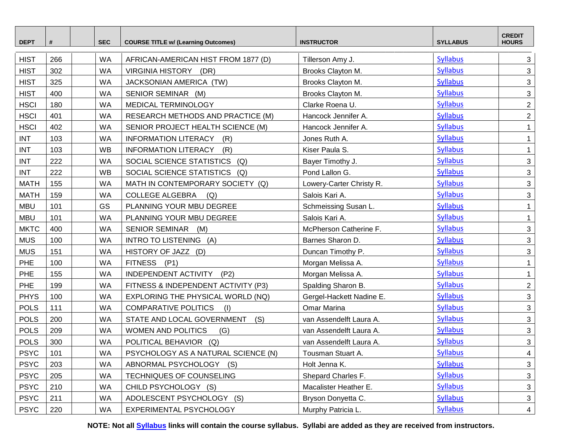| <b>DEPT</b> | #   | <b>SEC</b> | <b>COURSE TITLE w/ (Learning Outcomes)</b> | <b>INSTRUCTOR</b>        | <b>SYLLABUS</b> | <b>CREDIT</b><br><b>HOURS</b> |
|-------------|-----|------------|--------------------------------------------|--------------------------|-----------------|-------------------------------|
| <b>HIST</b> | 266 | <b>WA</b>  | AFRICAN-AMERICAN HIST FROM 1877 (D)        | Tillerson Amy J.         | <b>Syllabus</b> | 3                             |
| <b>HIST</b> | 302 | <b>WA</b>  | VIRGINIA HISTORY (DR)                      | Brooks Clayton M.        | <b>Syllabus</b> | 3                             |
| <b>HIST</b> | 325 | <b>WA</b>  | JACKSONIAN AMERICA (TW)                    | Brooks Clayton M.        | <b>Syllabus</b> | $\mathbf{3}$                  |
| <b>HIST</b> | 400 | <b>WA</b>  | SENIOR SEMINAR (M)                         | Brooks Clayton M.        | <b>Syllabus</b> | 3                             |
| <b>HSCI</b> | 180 | <b>WA</b>  | MEDICAL TERMINOLOGY                        | Clarke Roena U.          | <b>Syllabus</b> | $\overline{2}$                |
| <b>HSCI</b> | 401 | <b>WA</b>  | RESEARCH METHODS AND PRACTICE (M)          | Hancock Jennifer A.      | <b>Syllabus</b> | $\overline{2}$                |
| <b>HSCI</b> | 402 | <b>WA</b>  | SENIOR PROJECT HEALTH SCIENCE (M)          | Hancock Jennifer A.      | <b>Syllabus</b> | $\mathbf{1}$                  |
| <b>INT</b>  | 103 | <b>WA</b>  | <b>INFORMATION LITERACY</b><br>(R)         | Jones Ruth A.            | <b>Syllabus</b> | $\mathbf{1}$                  |
| <b>INT</b>  | 103 | <b>WB</b>  | <b>INFORMATION LITERACY</b><br>(R)         | Kiser Paula S.           | <b>Syllabus</b> | $\mathbf{1}$                  |
| <b>INT</b>  | 222 | <b>WA</b>  | SOCIAL SCIENCE STATISTICS<br>(Q)           | Bayer Timothy J.         | <b>Syllabus</b> | $\mathfrak{S}$                |
| <b>INT</b>  | 222 | <b>WB</b>  | SOCIAL SCIENCE STATISTICS (Q)              | Pond Lallon G.           | <b>Syllabus</b> | $\mathfrak{S}$                |
| <b>MATH</b> | 155 | <b>WA</b>  | MATH IN CONTEMPORARY SOCIETY (Q)           | Lowery-Carter Christy R. | <b>Syllabus</b> | 3                             |
| <b>MATH</b> | 159 | <b>WA</b>  | <b>COLLEGE ALGEBRA</b><br>(Q)              | Salois Kari A.           | <b>Syllabus</b> | 3                             |
| <b>MBU</b>  | 101 | GS         | PLANNING YOUR MBU DEGREE                   | Schmeissing Susan L.     | <b>Syllabus</b> | $\mathbf{1}$                  |
| <b>MBU</b>  | 101 | <b>WA</b>  | PLANNING YOUR MBU DEGREE                   | Salois Kari A.           | <b>Syllabus</b> | $\mathbf{1}$                  |
| <b>MKTC</b> | 400 | <b>WA</b>  | SENIOR SEMINAR (M)                         | McPherson Catherine F.   | <b>Syllabus</b> | 3                             |
| <b>MUS</b>  | 100 | <b>WA</b>  | INTRO TO LISTENING (A)                     | Barnes Sharon D.         | <b>Syllabus</b> | 3                             |
| <b>MUS</b>  | 151 | <b>WA</b>  | HISTORY OF JAZZ (D)                        | Duncan Timothy P.        | <b>Syllabus</b> | 3                             |
| PHE         | 100 | <b>WA</b>  | FITNESS (P1)                               | Morgan Melissa A.        | <b>Syllabus</b> | $\mathbf{1}$                  |
| PHE         | 155 | <b>WA</b>  | INDEPENDENT ACTIVITY<br>(P2)               | Morgan Melissa A.        | <b>Syllabus</b> | $\mathbf{1}$                  |
| PHE         | 199 | <b>WA</b>  | FITNESS & INDEPENDENT ACTIVITY (P3)        | Spalding Sharon B.       | <b>Syllabus</b> | $\overline{c}$                |
| <b>PHYS</b> | 100 | <b>WA</b>  | EXPLORING THE PHYSICAL WORLD (NQ)          | Gergel-Hackett Nadine E. | <b>Syllabus</b> | 3                             |
| <b>POLS</b> | 111 | <b>WA</b>  | <b>COMPARATIVE POLITICS</b><br>(1)         | Omar Marina              | <b>Syllabus</b> | $\mathbf{3}$                  |
| <b>POLS</b> | 200 | <b>WA</b>  | STATE AND LOCAL GOVERNMENT<br>(S)          | van Assendelft Laura A.  | <b>Syllabus</b> | 3                             |
| <b>POLS</b> | 209 | <b>WA</b>  | WOMEN AND POLITICS<br>(G)                  | van Assendelft Laura A.  | <b>Syllabus</b> | 3                             |
| <b>POLS</b> | 300 | WA         | POLITICAL BEHAVIOR (Q)                     | van Assendelft Laura A.  | <b>Syllabus</b> | $\overline{3}$                |
| <b>PSYC</b> | 101 | <b>WA</b>  | PSYCHOLOGY AS A NATURAL SCIENCE (N)        | Tousman Stuart A.        | <b>Syllabus</b> | 4                             |
| <b>PSYC</b> | 203 | <b>WA</b>  | ABNORMAL PSYCHOLOGY<br>(S)                 | Holt Jenna K.            | <b>Syllabus</b> | 3                             |
| <b>PSYC</b> | 205 | <b>WA</b>  | TECHNIQUES OF COUNSELING                   | Shepard Charles F.       | <b>Syllabus</b> | 3                             |
| <b>PSYC</b> | 210 | WA         | CHILD PSYCHOLOGY (S)                       | Macalister Heather E.    | <b>Syllabus</b> | $\mathfrak{S}$                |
| <b>PSYC</b> | 211 | WA         | ADOLESCENT PSYCHOLOGY (S)                  | Bryson Donyetta C.       | <b>Syllabus</b> | 3                             |
| <b>PSYC</b> | 220 | <b>WA</b>  | EXPERIMENTAL PSYCHOLOGY                    | Murphy Patricia L.       | <b>Syllabus</b> | $\overline{4}$                |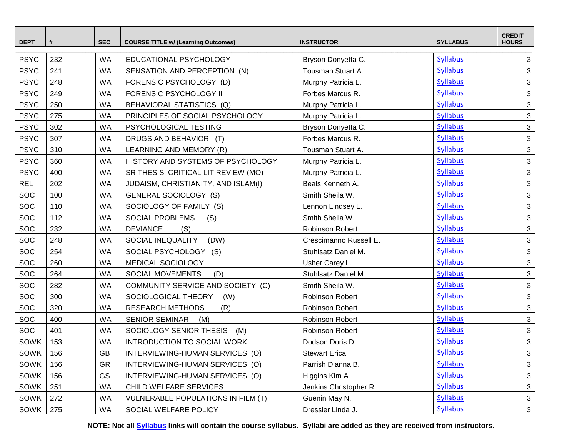| <b>DEPT</b> | #   | <b>SEC</b>             | <b>COURSE TITLE w/ (Learning Outcomes)</b> | <b>INSTRUCTOR</b>      | <b>SYLLABUS</b> | <b>CREDIT</b><br><b>HOURS</b> |
|-------------|-----|------------------------|--------------------------------------------|------------------------|-----------------|-------------------------------|
| <b>PSYC</b> | 232 | <b>WA</b>              | EDUCATIONAL PSYCHOLOGY                     | Bryson Donyetta C.     | <b>Syllabus</b> | 3                             |
| <b>PSYC</b> | 241 | <b>WA</b>              | SENSATION AND PERCEPTION (N)               | Tousman Stuart A.      | <b>Syllabus</b> | 3                             |
| <b>PSYC</b> | 248 | <b>WA</b>              | FORENSIC PSYCHOLOGY (D)                    | Murphy Patricia L.     | <b>Syllabus</b> | $\mathbf{3}$                  |
| <b>PSYC</b> | 249 | <b>WA</b>              | FORENSIC PSYCHOLOGY II                     | Forbes Marcus R.       | <b>Syllabus</b> | 3                             |
| <b>PSYC</b> | 250 | <b>WA</b>              | BEHAVIORAL STATISTICS (Q)                  | Murphy Patricia L.     | <b>Syllabus</b> | 3                             |
| <b>PSYC</b> | 275 | <b>WA</b>              | PRINCIPLES OF SOCIAL PSYCHOLOGY            | Murphy Patricia L.     | <b>Syllabus</b> | 3                             |
| <b>PSYC</b> | 302 | <b>WA</b>              | PSYCHOLOGICAL TESTING                      | Bryson Donyetta C.     | <b>Syllabus</b> | $\mathbf{3}$                  |
| <b>PSYC</b> | 307 | <b>WA</b>              | DRUGS AND BEHAVIOR (T)                     | Forbes Marcus R.       | <b>Syllabus</b> | $\mathfrak{S}$                |
| <b>PSYC</b> | 310 | <b>WA</b>              | LEARNING AND MEMORY (R)                    | Tousman Stuart A.      | <b>Syllabus</b> | 3                             |
| <b>PSYC</b> | 360 | <b>WA</b>              | HISTORY AND SYSTEMS OF PSYCHOLOGY          | Murphy Patricia L.     | <b>Syllabus</b> | $\mathbf{3}$                  |
| <b>PSYC</b> | 400 | <b>WA</b>              | SR THESIS: CRITICAL LIT REVIEW (MO)        | Murphy Patricia L.     | <b>Syllabus</b> | 3                             |
| <b>REL</b>  | 202 | <b>WA</b>              | JUDAISM, CHRISTIANITY, AND ISLAM(I)        | Beals Kenneth A.       | <b>Syllabus</b> | $\mathbf{3}$                  |
| SOC         | 100 | <b>WA</b>              | <b>GENERAL SOCIOLOGY (S)</b>               | Smith Sheila W.        | <b>Syllabus</b> | $\mathfrak{S}$                |
| SOC         | 110 | <b>WA</b>              | SOCIOLOGY OF FAMILY (S)                    | Lennon Lindsey L.      | <b>Syllabus</b> | 3                             |
| SOC         | 112 | <b>WA</b>              | SOCIAL PROBLEMS<br>(S)                     | Smith Sheila W.        | <b>Syllabus</b> | $\mathbf{3}$                  |
| SOC         | 232 | <b>WA</b>              | <b>DEVIANCE</b><br>(S)                     | Robinson Robert        | <b>Syllabus</b> | $\mathbf{3}$                  |
| SOC         | 248 | <b>WA</b>              | SOCIAL INEQUALITY<br>(DW)                  | Crescimanno Russell E. | <b>Syllabus</b> | 3                             |
| SOC         | 254 | <b>WA</b>              | SOCIAL PSYCHOLOGY (S)                      | Stuhlsatz Daniel M.    | <b>Syllabus</b> | $\mathfrak{S}$                |
| SOC         | 260 | <b>WA</b>              | MEDICAL SOCIOLOGY                          | Usher Carey L.         | <b>Syllabus</b> | 3                             |
| SOC         | 264 | <b>WA</b>              | SOCIAL MOVEMENTS<br>(D)                    | Stuhlsatz Daniel M.    | <b>Syllabus</b> | 3                             |
| SOC         | 282 | <b>WA</b>              | COMMUNITY SERVICE AND SOCIETY (C)          | Smith Sheila W.        | <b>Syllabus</b> | $\mathbf{3}$                  |
| SOC         | 300 | <b>WA</b>              | SOCIOLOGICAL THEORY<br>(W)                 | <b>Robinson Robert</b> | <b>Syllabus</b> | $\mathbf{3}$                  |
| SOC         | 320 | <b>WA</b>              | <b>RESEARCH METHODS</b><br>(R)             | Robinson Robert        | <b>Syllabus</b> | 3                             |
| SOC         | 400 | <b>WA</b>              | <b>SENIOR SEMINAR</b><br>(M)               | Robinson Robert        | <b>Syllabus</b> | $\mathfrak{S}$                |
| SOC         | 401 | <b>WA</b>              | SOCIOLOGY SENIOR THESIS<br>(M)             | Robinson Robert        | <b>Syllabus</b> | 3                             |
| SOWK        | 153 | WA                     | INTRODUCTION TO SOCIAL WORK                | Dodson Doris D.        | <b>Syllabus</b> | 3                             |
| SOWK        | 156 | $\mathsf{G}\mathsf{B}$ | INTERVIEWING-HUMAN SERVICES (O)            | <b>Stewart Erica</b>   | <b>Syllabus</b> | $\mathbf{3}$                  |
| <b>SOWK</b> | 156 | <b>GR</b>              | INTERVIEWING-HUMAN SERVICES (O)            | Parrish Dianna B.      | <b>Syllabus</b> | 3                             |
| SOWK        | 156 | GS                     | INTERVIEWING-HUMAN SERVICES (O)            | Higgins Kim A.         | <b>Syllabus</b> | 3                             |
| SOWK        | 251 | <b>WA</b>              | CHILD WELFARE SERVICES                     | Jenkins Christopher R. | <b>Syllabus</b> | $\mathfrak{S}$                |
| SOWK        | 272 | <b>WA</b>              | VULNERABLE POPULATIONS IN FILM (T)         | Guenin May N.          | <b>Syllabus</b> | $\mathfrak{S}$                |
| SOWK        | 275 | WA                     | SOCIAL WELFARE POLICY                      | Dressler Linda J.      | <b>Syllabus</b> | $\mathbf{3}$                  |